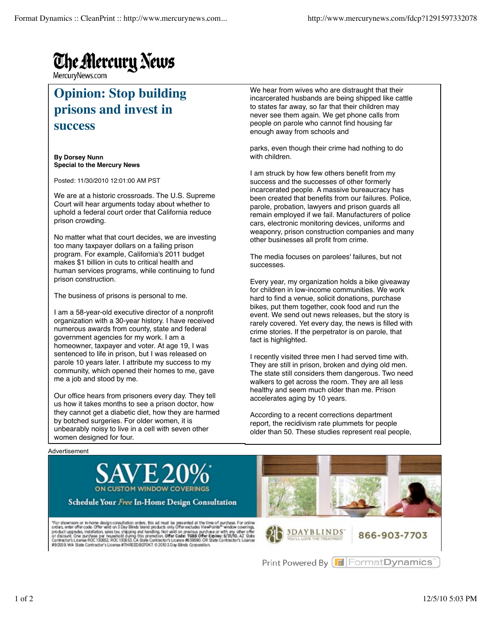## **The Alercury News**

MercuryNews.com

## **Opinion: Stop building prisons and invest in success**

**By Dorsey Nunn Special to the Mercury News**

Posted: 11/30/2010 12:01:00 AM PST

We are at a historic crossroads. The U.S. Supreme Court will hear arguments today about whether to uphold a federal court order that California reduce prison crowding.

No matter what that court decides, we are investing too many taxpayer dollars on a failing prison program. For example, California's 2011 budget makes \$1 billion in cuts to critical health and human services programs, while continuing to fund prison construction.

The business of prisons is personal to me.

I am a 58-year-old executive director of a nonprofit organization with a 30-year history. I have received numerous awards from county, state and federal government agencies for my work. I am a homeowner, taxpayer and voter. At age 19, I was sentenced to life in prison, but I was released on parole 10 years later. I attribute my success to my community, which opened their homes to me, gave me a job and stood by me.

Our office hears from prisoners every day. They tell us how it takes months to see a prison doctor, how they cannot get a diabetic diet, how they are harmed by botched surgeries. For older women, it is unbearably noisy to live in a cell with seven other women designed for four.

We hear from wives who are distraught that their incarcerated husbands are being shipped like cattle to states far away, so far that their children may never see them again. We get phone calls from people on parole who cannot find housing far enough away from schools and

parks, even though their crime had nothing to do with children.

I am struck by how few others benefit from my success and the successes of other formerly incarcerated people. A massive bureaucracy has been created that benefits from our failures. Police, parole, probation, lawyers and prison guards all remain employed if we fail. Manufacturers of police cars, electronic monitoring devices, uniforms and weaponry, prison construction companies and many other businesses all profit from crime.

The media focuses on parolees' failures, but not successes.

Every year, my organization holds a bike giveaway for children in low-income communities. We work hard to find a venue, solicit donations, purchase bikes, put them together, cook food and run the event. We send out news releases, but the story is rarely covered. Yet every day, the news is filled with crime stories. If the perpetrator is on parole, that fact is highlighted.

I recently visited three men I had served time with. They are still in prison, broken and dying old men. The state still considers them dangerous. Two need walkers to get across the room. They are all less healthy and seem much older than me. Prison accelerates aging by 10 years.

According to a recent corrections department report, the recidivism rate plummets for people older than 50. These studies represent real people,





Schedule Your Free In-Home Design Consultation

"For showroom or in-home design consultation orders, this ad must be presented at the time of purchase. For online<br>orders, enter offer code. Offer wild on 3 Day Blinds band products only Offer excludes ViewPoints" window c





866-903-7703

Print Powered By FormatDynamics